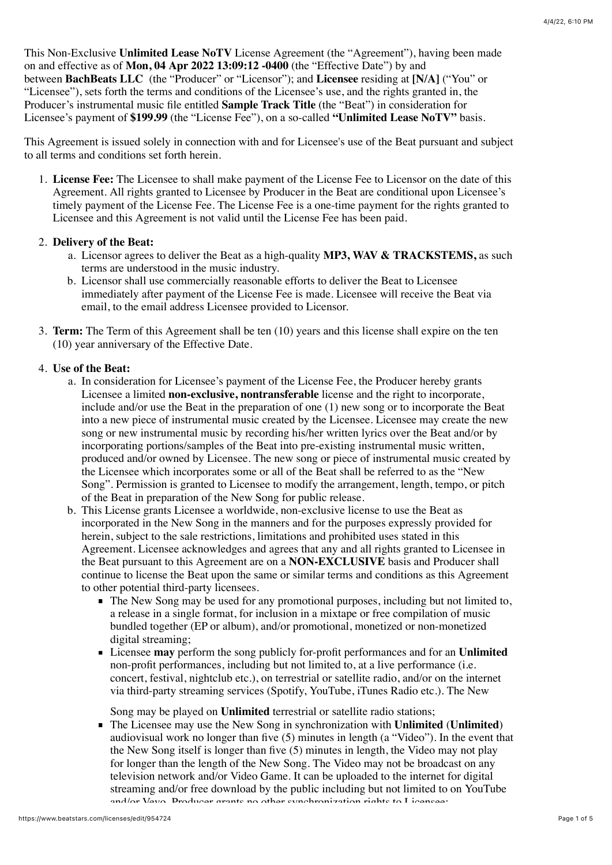This Non-Exclusive **Unlimited Lease NoTV** License Agreement (the "Agreement"), having been made on and effective as of **Mon, 04 Apr 2022 13:09:12 -0400** (the "Effective Date") by and between **BachBeats LLC** (the "Producer" or "Licensor"); and **Licensee** residing at **[N/A]** ("You" or "Licensee"), sets forth the terms and conditions of the Licensee's use, and the rights granted in, the Producer's instrumental music file entitled **Sample Track Title** (the "Beat") in consideration for Licensee's payment of **\$199.99** (the "License Fee"), on a so-called **"Unlimited Lease NoTV"** basis.

This Agreement is issued solely in connection with and for Licensee's use of the Beat pursuant and subject to all terms and conditions set forth herein.

1. **License Fee:** The Licensee to shall make payment of the License Fee to Licensor on the date of this Agreement. All rights granted to Licensee by Producer in the Beat are conditional upon Licensee's timely payment of the License Fee. The License Fee is a one-time payment for the rights granted to Licensee and this Agreement is not valid until the License Fee has been paid.

## 2. **Delivery of the Beat:**

- a. Licensor agrees to deliver the Beat as a high-quality **MP3, WAV & TRACKSTEMS,** as such terms are understood in the music industry.
- b. Licensor shall use commercially reasonable efforts to deliver the Beat to Licensee immediately after payment of the License Fee is made. Licensee will receive the Beat via email, to the email address Licensee provided to Licensor.
- 3. **Term:** The Term of this Agreement shall be ten (10) years and this license shall expire on the ten (10) year anniversary of the Effective Date.

## 4. **Use of the Beat:**

- a. In consideration for Licensee's payment of the License Fee, the Producer hereby grants Licensee a limited **non-exclusive, nontransferable** license and the right to incorporate, include and/or use the Beat in the preparation of one (1) new song or to incorporate the Beat into a new piece of instrumental music created by the Licensee. Licensee may create the new song or new instrumental music by recording his/her written lyrics over the Beat and/or by incorporating portions/samples of the Beat into pre-existing instrumental music written, produced and/or owned by Licensee. The new song or piece of instrumental music created by the Licensee which incorporates some or all of the Beat shall be referred to as the "New Song". Permission is granted to Licensee to modify the arrangement, length, tempo, or pitch of the Beat in preparation of the New Song for public release.
- b. This License grants Licensee a worldwide, non-exclusive license to use the Beat as incorporated in the New Song in the manners and for the purposes expressly provided for herein, subject to the sale restrictions, limitations and prohibited uses stated in this Agreement. Licensee acknowledges and agrees that any and all rights granted to Licensee in the Beat pursuant to this Agreement are on a **NON-EXCLUSIVE** basis and Producer shall continue to license the Beat upon the same or similar terms and conditions as this Agreement to other potential third-party licensees.
	- The New Song may be used for any promotional purposes, including but not limited to, a release in a single format, for inclusion in a mixtape or free compilation of music bundled together (EP or album), and/or promotional, monetized or non-monetized digital streaming;
	- Licensee **may** perform the song publicly for-profit performances and for an **Unlimited** non-profit performances, including but not limited to, at a live performance (i.e. concert, festival, nightclub etc.), on terrestrial or satellite radio, and/or on the internet via third-party streaming services (Spotify, YouTube, iTunes Radio etc.). The New

Song may be played on **Unlimited** terrestrial or satellite radio stations;

The Licensee may use the New Song in synchronization with **Unlimited** (**Unlimited**) audiovisual work no longer than five (5) minutes in length (a "Video"). In the event that the New Song itself is longer than five (5) minutes in length, the Video may not play for longer than the length of the New Song. The Video may not be broadcast on any television network and/or Video Game. It can be uploaded to the internet for digital streaming and/or free download by the public including but not limited to on YouTube and/or Vavo. Droducer grants no other synchronization rights to Licensee;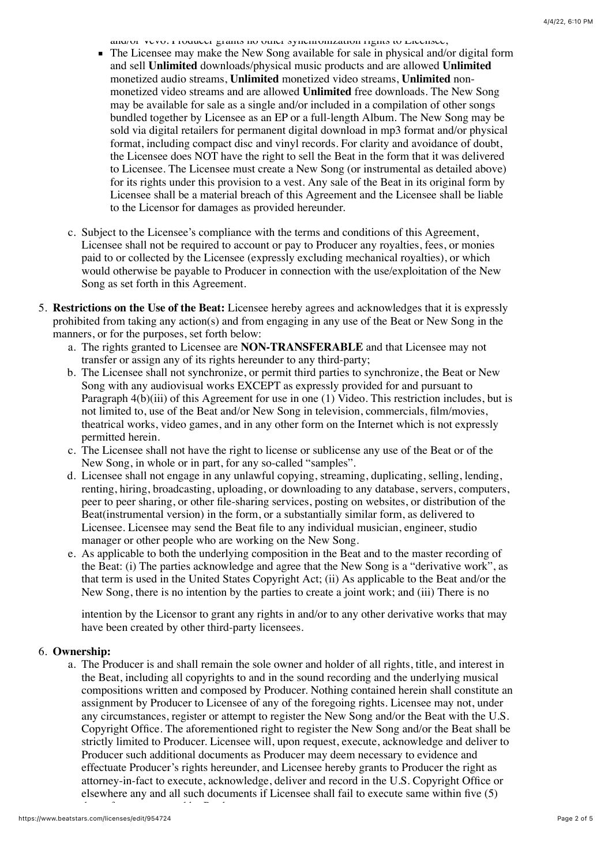and/or vevo. I roducer grants no other synchronization rights to Licensee,

- The Licensee may make the New Song available for sale in physical and/or digital form and sell **Unlimited** downloads/physical music products and are allowed **Unlimited** monetized audio streams, **Unlimited** monetized video streams, **Unlimited** nonmonetized video streams and are allowed **Unlimited** free downloads. The New Song may be available for sale as a single and/or included in a compilation of other songs bundled together by Licensee as an EP or a full-length Album. The New Song may be sold via digital retailers for permanent digital download in mp3 format and/or physical format, including compact disc and vinyl records. For clarity and avoidance of doubt, the Licensee does NOT have the right to sell the Beat in the form that it was delivered to Licensee. The Licensee must create a New Song (or instrumental as detailed above) for its rights under this provision to a vest. Any sale of the Beat in its original form by Licensee shall be a material breach of this Agreement and the Licensee shall be liable to the Licensor for damages as provided hereunder.
- c. Subject to the Licensee's compliance with the terms and conditions of this Agreement, Licensee shall not be required to account or pay to Producer any royalties, fees, or monies paid to or collected by the Licensee (expressly excluding mechanical royalties), or which would otherwise be payable to Producer in connection with the use/exploitation of the New Song as set forth in this Agreement.
- 5. **Restrictions on the Use of the Beat:** Licensee hereby agrees and acknowledges that it is expressly prohibited from taking any action(s) and from engaging in any use of the Beat or New Song in the manners, or for the purposes, set forth below:
	- a. The rights granted to Licensee are **NON-TRANSFERABLE** and that Licensee may not transfer or assign any of its rights hereunder to any third-party;
	- b. The Licensee shall not synchronize, or permit third parties to synchronize, the Beat or New Song with any audiovisual works EXCEPT as expressly provided for and pursuant to Paragraph 4(b)(iii) of this Agreement for use in one (1) Video. This restriction includes, but is not limited to, use of the Beat and/or New Song in television, commercials, film/movies, theatrical works, video games, and in any other form on the Internet which is not expressly permitted herein.
	- c. The Licensee shall not have the right to license or sublicense any use of the Beat or of the New Song, in whole or in part, for any so-called "samples".
	- d. Licensee shall not engage in any unlawful copying, streaming, duplicating, selling, lending, renting, hiring, broadcasting, uploading, or downloading to any database, servers, computers, peer to peer sharing, or other file-sharing services, posting on websites, or distribution of the Beat(instrumental version) in the form, or a substantially similar form, as delivered to Licensee. Licensee may send the Beat file to any individual musician, engineer, studio manager or other people who are working on the New Song.
	- e. As applicable to both the underlying composition in the Beat and to the master recording of the Beat: (i) The parties acknowledge and agree that the New Song is a "derivative work", as that term is used in the United States Copyright Act; (ii) As applicable to the Beat and/or the New Song, there is no intention by the parties to create a joint work; and (iii) There is no

intention by the Licensor to grant any rights in and/or to any other derivative works that may have been created by other third-party licensees.

## 6. **Ownership:**

a. The Producer is and shall remain the sole owner and holder of all rights, title, and interest in the Beat, including all copyrights to and in the sound recording and the underlying musical compositions written and composed by Producer. Nothing contained herein shall constitute an assignment by Producer to Licensee of any of the foregoing rights. Licensee may not, under any circumstances, register or attempt to register the New Song and/or the Beat with the U.S. Copyright Office. The aforementioned right to register the New Song and/or the Beat shall be strictly limited to Producer. Licensee will, upon request, execute, acknowledge and deliver to Producer such additional documents as Producer may deem necessary to evidence and effectuate Producer's rights hereunder, and Licensee hereby grants to Producer the right as attorney-in-fact to execute, acknowledge, deliver and record in the U.S. Copyright Office or elsewhere any and all such documents if Licensee shall fail to execute same within five (5)

days after so requested by Producer.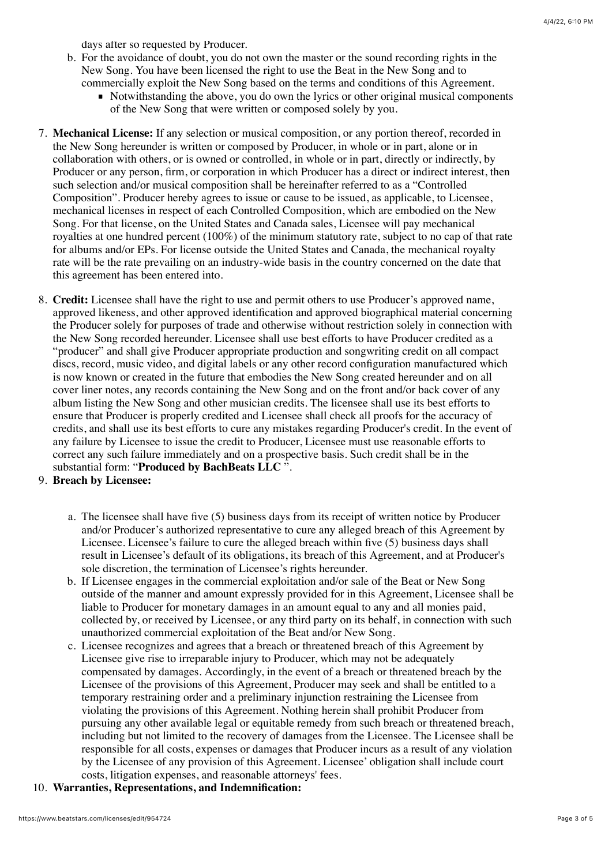days after so requested by Producer.

- b. For the avoidance of doubt, you do not own the master or the sound recording rights in the New Song. You have been licensed the right to use the Beat in the New Song and to commercially exploit the New Song based on the terms and conditions of this Agreement.
	- Notwithstanding the above, you do own the lyrics or other original musical components of the New Song that were written or composed solely by you.
- 7. **Mechanical License:** If any selection or musical composition, or any portion thereof, recorded in the New Song hereunder is written or composed by Producer, in whole or in part, alone or in collaboration with others, or is owned or controlled, in whole or in part, directly or indirectly, by Producer or any person, firm, or corporation in which Producer has a direct or indirect interest, then such selection and/or musical composition shall be hereinafter referred to as a "Controlled Composition". Producer hereby agrees to issue or cause to be issued, as applicable, to Licensee, mechanical licenses in respect of each Controlled Composition, which are embodied on the New Song. For that license, on the United States and Canada sales, Licensee will pay mechanical royalties at one hundred percent (100%) of the minimum statutory rate, subject to no cap of that rate for albums and/or EPs. For license outside the United States and Canada, the mechanical royalty rate will be the rate prevailing on an industry-wide basis in the country concerned on the date that this agreement has been entered into.
- 8. **Credit:** Licensee shall have the right to use and permit others to use Producer's approved name, approved likeness, and other approved identification and approved biographical material concerning the Producer solely for purposes of trade and otherwise without restriction solely in connection with the New Song recorded hereunder. Licensee shall use best efforts to have Producer credited as a "producer" and shall give Producer appropriate production and songwriting credit on all compact discs, record, music video, and digital labels or any other record configuration manufactured which is now known or created in the future that embodies the New Song created hereunder and on all cover liner notes, any records containing the New Song and on the front and/or back cover of any album listing the New Song and other musician credits. The licensee shall use its best efforts to ensure that Producer is properly credited and Licensee shall check all proofs for the accuracy of credits, and shall use its best efforts to cure any mistakes regarding Producer's credit. In the event of any failure by Licensee to issue the credit to Producer, Licensee must use reasonable efforts to correct any such failure immediately and on a prospective basis. Such credit shall be in the substantial form: "**Produced by BachBeats LLC** ".
- 9. **Breach by Licensee:**
	- a. The licensee shall have five (5) business days from its receipt of written notice by Producer and/or Producer's authorized representative to cure any alleged breach of this Agreement by Licensee. Licensee's failure to cure the alleged breach within five (5) business days shall result in Licensee's default of its obligations, its breach of this Agreement, and at Producer's sole discretion, the termination of Licensee's rights hereunder.
	- b. If Licensee engages in the commercial exploitation and/or sale of the Beat or New Song outside of the manner and amount expressly provided for in this Agreement, Licensee shall be liable to Producer for monetary damages in an amount equal to any and all monies paid, collected by, or received by Licensee, or any third party on its behalf, in connection with such unauthorized commercial exploitation of the Beat and/or New Song.
	- c. Licensee recognizes and agrees that a breach or threatened breach of this Agreement by Licensee give rise to irreparable injury to Producer, which may not be adequately compensated by damages. Accordingly, in the event of a breach or threatened breach by the Licensee of the provisions of this Agreement, Producer may seek and shall be entitled to a temporary restraining order and a preliminary injunction restraining the Licensee from violating the provisions of this Agreement. Nothing herein shall prohibit Producer from pursuing any other available legal or equitable remedy from such breach or threatened breach, including but not limited to the recovery of damages from the Licensee. The Licensee shall be responsible for all costs, expenses or damages that Producer incurs as a result of any violation by the Licensee of any provision of this Agreement. Licensee' obligation shall include court costs, litigation expenses, and reasonable attorneys' fees.
- 10. **Warranties, Representations, and Indemnification:**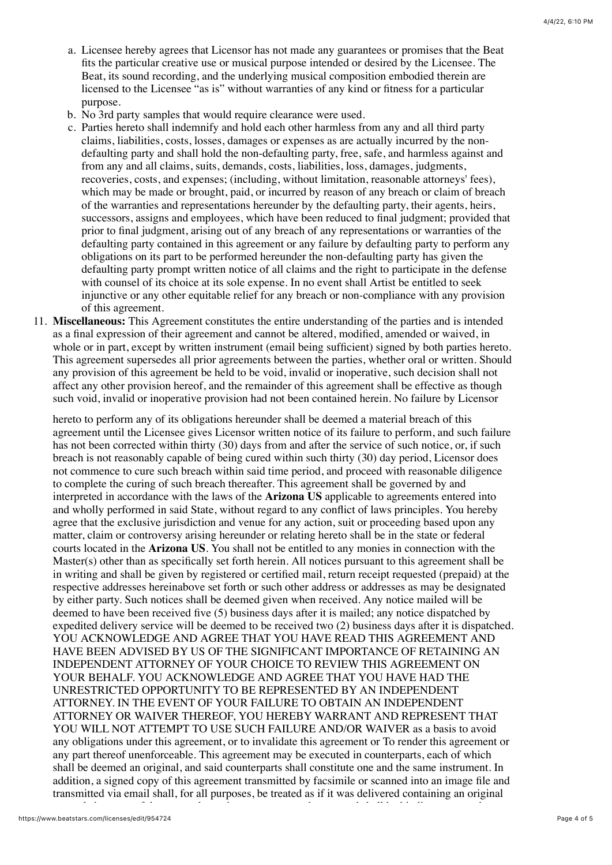- a. Licensee hereby agrees that Licensor has not made any guarantees or promises that the Beat fits the particular creative use or musical purpose intended or desired by the Licensee. The Beat, its sound recording, and the underlying musical composition embodied therein are licensed to the Licensee "as is" without warranties of any kind or fitness for a particular purpose.
- b. No 3rd party samples that would require clearance were used.
- c. Parties hereto shall indemnify and hold each other harmless from any and all third party claims, liabilities, costs, losses, damages or expenses as are actually incurred by the nondefaulting party and shall hold the non-defaulting party, free, safe, and harmless against and from any and all claims, suits, demands, costs, liabilities, loss, damages, judgments, recoveries, costs, and expenses; (including, without limitation, reasonable attorneys' fees), which may be made or brought, paid, or incurred by reason of any breach or claim of breach of the warranties and representations hereunder by the defaulting party, their agents, heirs, successors, assigns and employees, which have been reduced to final judgment; provided that prior to final judgment, arising out of any breach of any representations or warranties of the defaulting party contained in this agreement or any failure by defaulting party to perform any obligations on its part to be performed hereunder the non-defaulting party has given the defaulting party prompt written notice of all claims and the right to participate in the defense with counsel of its choice at its sole expense. In no event shall Artist be entitled to seek injunctive or any other equitable relief for any breach or non-compliance with any provision of this agreement.
- 11. **Miscellaneous:** This Agreement constitutes the entire understanding of the parties and is intended as a final expression of their agreement and cannot be altered, modified, amended or waived, in whole or in part, except by written instrument (email being sufficient) signed by both parties hereto. This agreement supersedes all prior agreements between the parties, whether oral or written. Should any provision of this agreement be held to be void, invalid or inoperative, such decision shall not affect any other provision hereof, and the remainder of this agreement shall be effective as though such void, invalid or inoperative provision had not been contained herein. No failure by Licensor

hereto to perform any of its obligations hereunder shall be deemed a material breach of this agreement until the Licensee gives Licensor written notice of its failure to perform, and such failure has not been corrected within thirty (30) days from and after the service of such notice, or, if such breach is not reasonably capable of being cured within such thirty (30) day period, Licensor does not commence to cure such breach within said time period, and proceed with reasonable diligence to complete the curing of such breach thereafter. This agreement shall be governed by and interpreted in accordance with the laws of the **Arizona US** applicable to agreements entered into and wholly performed in said State, without regard to any conflict of laws principles. You hereby agree that the exclusive jurisdiction and venue for any action, suit or proceeding based upon any matter, claim or controversy arising hereunder or relating hereto shall be in the state or federal courts located in the **Arizona US**. You shall not be entitled to any monies in connection with the Master(s) other than as specifically set forth herein. All notices pursuant to this agreement shall be in writing and shall be given by registered or certified mail, return receipt requested (prepaid) at the respective addresses hereinabove set forth or such other address or addresses as may be designated by either party. Such notices shall be deemed given when received. Any notice mailed will be deemed to have been received five (5) business days after it is mailed; any notice dispatched by expedited delivery service will be deemed to be received two (2) business days after it is dispatched. YOU ACKNOWLEDGE AND AGREE THAT YOU HAVE READ THIS AGREEMENT AND HAVE BEEN ADVISED BY US OF THE SIGNIFICANT IMPORTANCE OF RETAINING AN INDEPENDENT ATTORNEY OF YOUR CHOICE TO REVIEW THIS AGREEMENT ON YOUR BEHALF. YOU ACKNOWLEDGE AND AGREE THAT YOU HAVE HAD THE UNRESTRICTED OPPORTUNITY TO BE REPRESENTED BY AN INDEPENDENT ATTORNEY. IN THE EVENT OF YOUR FAILURE TO OBTAIN AN INDEPENDENT ATTORNEY OR WAIVER THEREOF, YOU HEREBY WARRANT AND REPRESENT THAT YOU WILL NOT ATTEMPT TO USE SUCH FAILURE AND/OR WAIVER as a basis to avoid any obligations under this agreement, or to invalidate this agreement or To render this agreement or any part thereof unenforceable. This agreement may be executed in counterparts, each of which shall be deemed an original, and said counterparts shall constitute one and the same instrument. In addition, a signed copy of this agreement transmitted by facsimile or scanned into an image file and transmitted via email shall, for all purposes, be treated as if it was delivered containing an original

manual signature of the party whose signature appears thereon and shall be binding upon such party